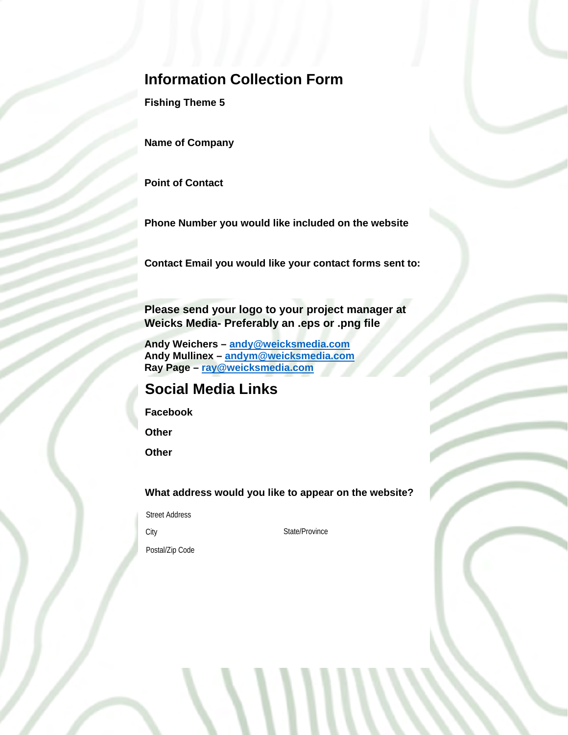## **Information Collection Form**

**Fishing Theme 5** 

**Name of Company**

**Point of Contact**

**Phone Number you would like included on the website**

**Contact Email you would like your contact forms sent to:**

**Please send your logo to your project manager at Weicks Media- Preferably an .eps or .png file**

**Andy Weichers – [andy@weicksmedia.com](mailto:andy@weicksmedia.com) Andy Mullinex – [andym@weicksmedia.com](mailto:andym@weicksmedia.com) Ray Page – [ray@weicksmedia.com](mailto:ray@weicksmedia.com)**

## **Social Media Links**

**Facebook**

**Other**

**Other**

**What address would you like to appear on the website?**

Street Address

City State/Province

Postal/Zip Code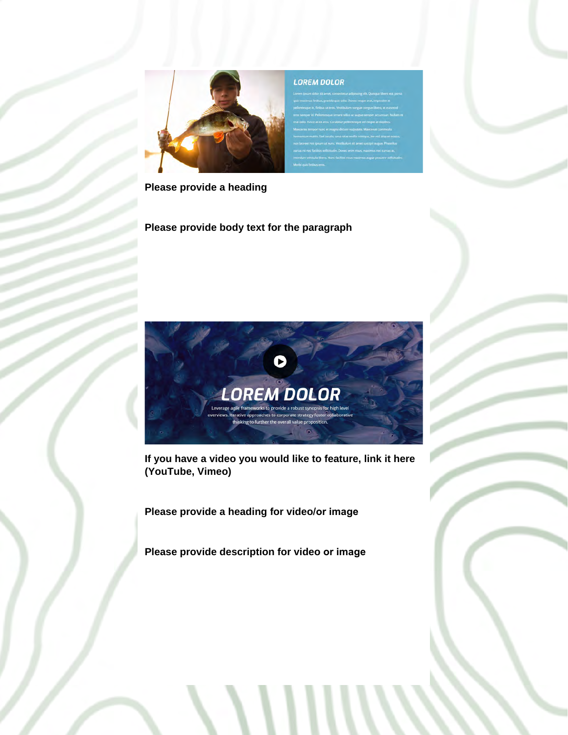

**Please provide a heading**

**Please provide body text for the paragraph**



**If you have a video you would like to feature, link it here (YouTube, Vimeo)** 

**Please provide a heading for video/or image**

**Please provide description for video or image**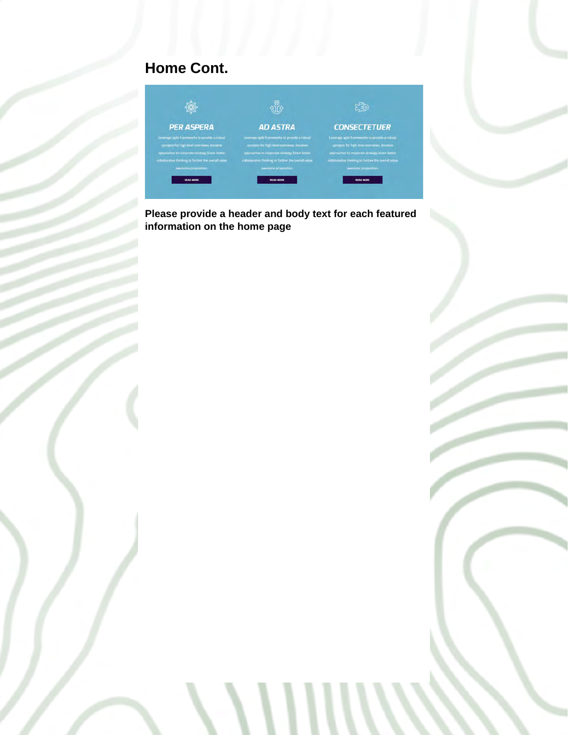# **Home Cont.**



**Please provide a header and body text for each featured information on the home page**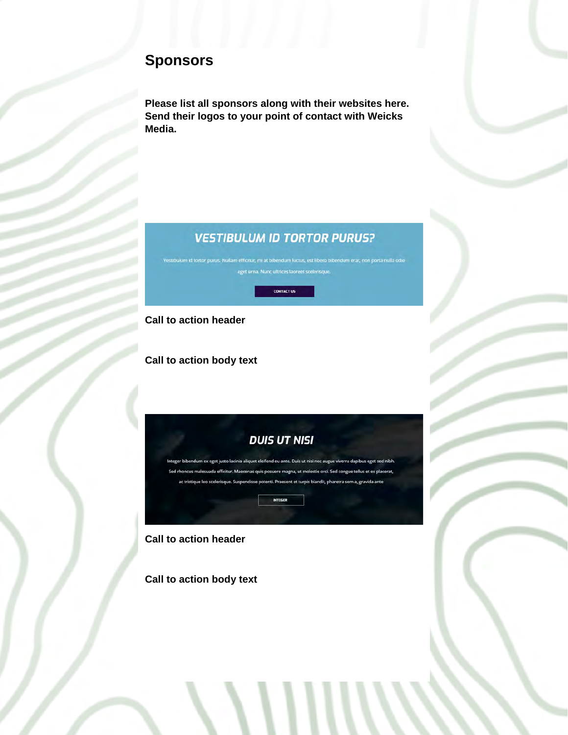## **Sponsors**

**Please list all sponsors along with their websites here. Send their logos to your point of contact with Weicks Media.**

### **VESTIBULUM ID TORTOR PURUS?**



**Call to action header**

**Call to action body text**



Integer bibendum ex eget justo lacinia aliquet eleifend eu ante. Duis ut nisi nec augue viverra dapibus eget sed nibh. Sed rhoncus malesuada efficitur. Maecenas quis posuere magna, ut molestie orci. Sed congue tellus et ex placerat, ac tristique leo scelerisque. Suspendisse potenti. Praesent et turpis blandit, pharetra sem a, gravida ante

**INTEGER** 

### **Call to action header**

**Call to action body text**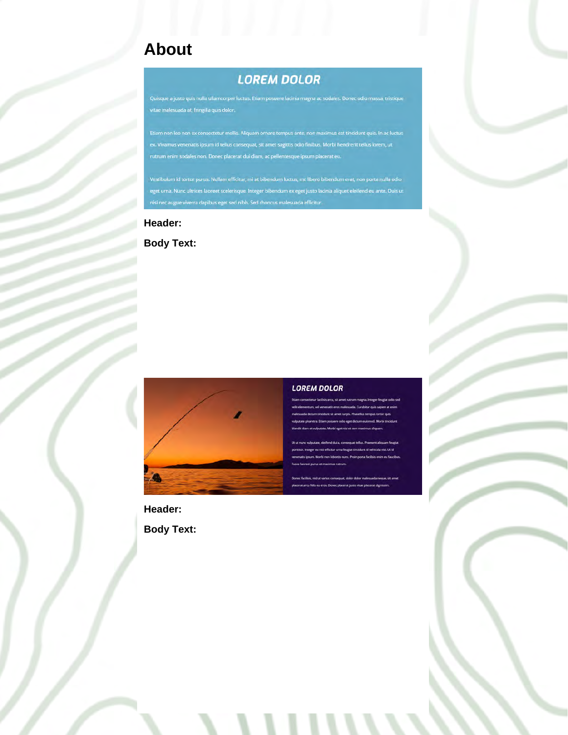# **About**

## **LOREM DOLOR**

Quisque a justo quis nulla ullamcorper luctus. Etiam posuere lacinia magna ac sodales. Donec odio massa, tristique vitae malesuada at, fringilla quis dolor.

Etiam non leo non ex consectetur mollis. Aliquam ornare tempus ante, non maximus est tincidunt quis. In ac luctus ex. Vivamus venenatis ipsum id tellus consequat, sit amet sagittis odio finibus. Morbi hendrerit tellus lorem, ut

Vestibulum id tortor purus. Nullam efficitur, mi at bibendum luctus, est libero bibendum erat, non porta nulla odio eget urna. Nunc ultrices laoreet scelerisque. Integer bibendum ex eget justo lacinia aliquet eleifend eu ante. Duis ut

#### **Header:**

**Body Text:**



#### **LOREM DOLOR**

**Header: Body Text:**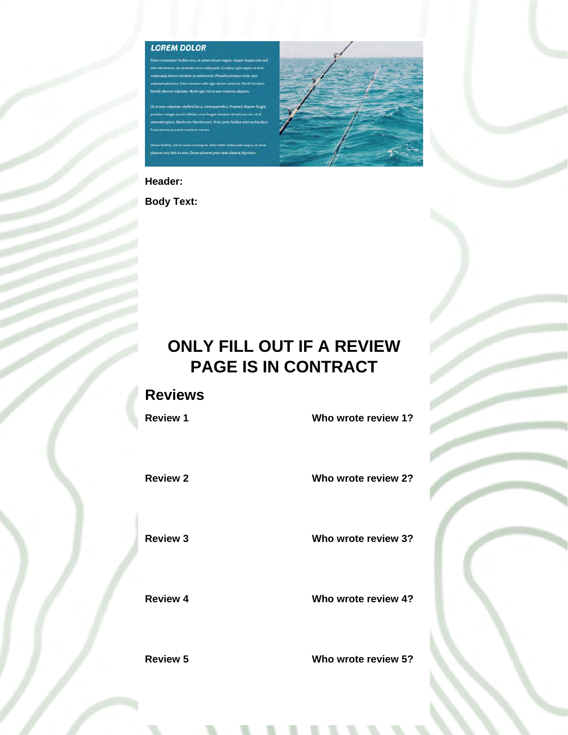#### **LOREM DOLOR**

### **Header:**

**Body Text:**

# **ONLY FILL OUT IF A REVIEW PAGE IS IN CONTRACT**

### **Reviews**

**Review 1 Who wrote review 1?**

**Review 2 Who wrote review 2?** 

**Review 3 Who wrote review 3?** 

**Review 4 Who wrote review 4?** 

### **Review 5 Who wrote review 5?**